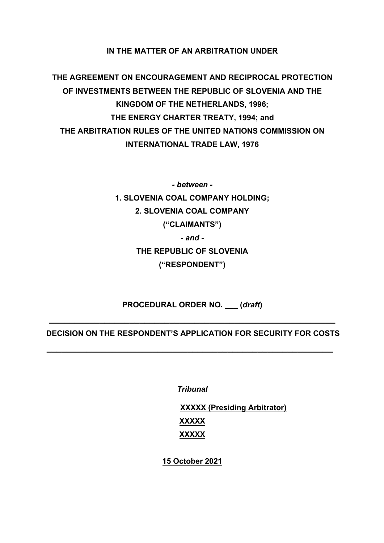## **IN THE MATTER OF AN ARBITRATION UNDER**

**THE AGREEMENT ON ENCOURAGEMENT AND RECIPROCAL PROTECTION OF INVESTMENTS BETWEEN THE REPUBLIC OF SLOVENIA AND THE KINGDOM OF THE NETHERLANDS, 1996; THE ENERGY CHARTER TREATY, 1994; and THE ARBITRATION RULES OF THE UNITED NATIONS COMMISSION ON INTERNATIONAL TRADE LAW, 1976** 

> *- between -* **1. SLOVENIA COAL COMPANY HOLDING; 2. SLOVENIA COAL COMPANY ("CLAIMANTS")**  *- and -* **THE REPUBLIC OF SLOVENIA ("RESPONDENT")**

**PROCEDURAL ORDER NO. \_\_\_ (***draft***)**

**\_\_\_\_\_\_\_\_\_\_\_\_\_\_\_\_\_\_\_\_\_\_\_\_\_\_\_\_\_\_\_\_\_\_\_\_\_\_\_\_\_\_\_\_\_\_\_\_\_\_\_\_\_\_\_\_\_**

**DECISION ON THE RESPONDENT'S APPLICATION FOR SECURITY FOR COSTS**

**\_\_\_\_\_\_\_\_\_\_\_\_\_\_\_\_\_\_\_\_\_\_\_\_\_\_\_\_\_\_\_\_\_\_\_\_\_\_\_\_\_\_\_\_\_\_\_\_\_\_\_\_\_\_\_\_\_**

*Tribunal*

**XXXXX (Presiding Arbitrator) XXXXX XXXXX**

**15 October 2021**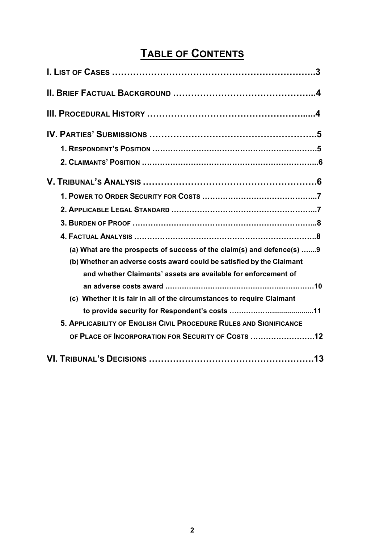# **TABLE OF CONTENTS**

| (a) What are the prospects of success of the claim(s) and defence(s) 9 |
|------------------------------------------------------------------------|
| (b) Whether an adverse costs award could be satisfied by the Claimant  |
| and whether Claimants' assets are available for enforcement of         |
| (c) Whether it is fair in all of the circumstances to require Claimant |
|                                                                        |
| 5. APPLICABILITY OF ENGLISH CIVIL PROCEDURE RULES AND SIGNIFICANCE     |
| OF PLACE OF INCORPORATION FOR SECURITY OF COSTS 12                     |
|                                                                        |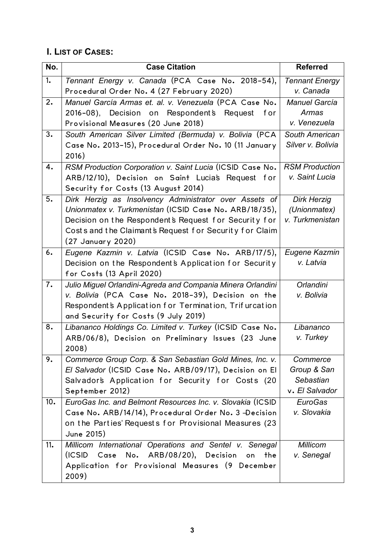# **I. LIST OF CASES:**

| No. | <b>Case Citation</b>                                        | <b>Referred</b>       |
|-----|-------------------------------------------------------------|-----------------------|
| 1.  | Tennant Energy v. Canada (PCA Case No. 2018-54),            | <b>Tennant Energy</b> |
|     | Procedural Order No. 4 (27 February 2020)                   | v. Canada             |
| 2.  | Manuel García Armas et. al. v. Venezuela (PCA Case No.      | Manuel García         |
|     | 2016-08), Decision on Respondent's Request<br>f or          | Armas                 |
|     | Provisional Measures (20 June 2018)                         | v. Venezuela          |
| 3.  | South American Silver Limited (Bermuda) v. Bolivia (PCA     | South American        |
|     | Case No. 2013-15), Procedural Order No. 10 (11 January      | Silver v. Bolivia     |
|     | 2016)                                                       |                       |
| 4.  | RSM Production Corporation v. Saint Lucia (ICSID Case No.   | <b>RSM Production</b> |
|     | ARB/12/10), Decision on Saint Lucias Request for            | v. Saint Lucia        |
|     | Security for Costs (13 August 2014)                         |                       |
| 5.  | Dirk Herzig as Insolvency Administrator over Assets of      | <b>Dirk Herzig</b>    |
|     | Unionmatex v. Turkmenistan (ICSID Case No. ARB/18/35),      | (Unionmatex)          |
|     | Decision on the Respondent's Request for Security for       | v. Turkmenistan       |
|     | Costs and the Claimant's Request for Security for Claim     |                       |
|     | (27 January 2020)                                           |                       |
| 6.  | Eugene Kazmin v. Latvia (ICSID Case No. ARB/17/5),          | Eugene Kazmin         |
|     | Decision on the Respondent's Application for Security       | v. Latvia             |
|     | for Costs (13 April 2020)                                   |                       |
| 7.  | Julio Miguel Orlandini-Agreda and Compania Minera Orlandini | Orlandini             |
|     | v. Bolivia (PCA Case No. 2018-39), Decision on the          | v. Bolivia            |
|     | Respondent's Application for Termination, Trifurcation      |                       |
|     | and Security for Costs (9 July 2019)                        |                       |
| 8.  | Libananco Holdings Co. Limited v. Turkey (ICSID Case No.    | Libananco             |
|     | ARB/06/8), Decision on Preliminary Issues (23 June          | v. Turkey             |
|     | 2008)                                                       |                       |
| 9.  | Commerce Group Corp. & San Sebastian Gold Mines, Inc. v.    | Commerce              |
|     | El Salvador (ICSID Case No. ARB/09/17), Decision on El      | Group & San           |
|     | Salvador's Application for Security for Costs (20           | Sebastian             |
|     | September 2012)                                             | v. El Salvador        |
| 10. | EuroGas Inc. and Belmont Resources Inc. v. Slovakia (ICSID  | EuroGas               |
|     | Case No. ARB/14/14), Procedural Order No. 3 -Decision       | v. Slovakia           |
|     | on the Parties' Requests for Provisional Measures (23       |                       |
|     | June 2015)                                                  |                       |
| 11. | Millicom International Operations and Sentel v. Senegal     | <b>Millicom</b>       |
|     | (ICSID Case No. ARB/08/20), Decision on<br>the              | v. Senegal            |
|     | Application for Provisional Measures (9 December            |                       |
|     | 2009)                                                       |                       |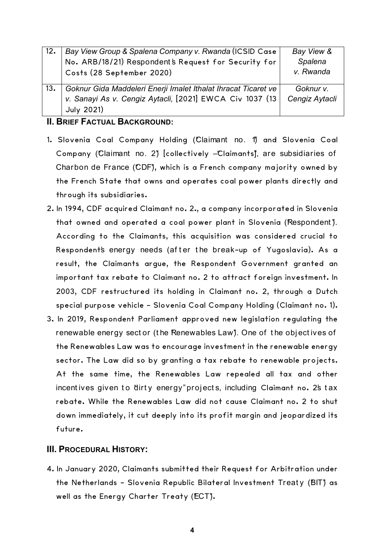| 12. | Bay View Group & Spalena Company v. Rwanda (ICSID Case         | Bay View &     |
|-----|----------------------------------------------------------------|----------------|
|     | No. ARB/18/21) Respondent's Request for Security for           | Spalena        |
|     | Costs (28 September 2020)                                      | v. Rwanda      |
|     |                                                                |                |
| 13. | Goknur Gida Maddeleri Enerji Imalet Ithalat Ihracat Ticaret ve | Goknur v.      |
|     | v. Sanayi As v. Cengiz Aytacli, [2021] EWCA Civ 1037 (13       | Cengiz Aytacli |
|     | <b>July 2021)</b>                                              |                |

## **II. BRIEF FACTUAL BACKGROUND:**

- 1. Slovenia Coal Company Holding (Claimant no. 1) and Slovenia Coal Company (Claimant no. 2) [collectively -Claimants], are subsidiaries of Charbon de France (CDF), which is a French company majority owned by the French State that owns and operates coal power plants directly and through its subsidiaries.
- 2. In 1994, CDF acquired Claimant no. 2., a company incorporated in Slovenia that owned and operated a coal power plant in Slovenia (Respondent). According to the Claimants, this acquisition was considered crucial to Respondent's energy needs (after the break-up of Yugoslavia). As a result, the Claimants argue, the Respondent Government granted an important tax rebate to Claimant no. 2 to attract foreign investment. In 2003, CDF restructured its holding in Claimant no. 2, through a Dutch special purpose vehicle - Slovenia Coal Company Holding (Claimant no. 1).
- 3. In 2019, Respondent Parliament approved new legislation regulating the renewable energy sect or (the Renewables Law). One of the objectives of the Renewables Law was to encourage investment in the renewable energy sector. The Law did so by granting a tax rebate to renewable projects. At the same time, the Renewables Law repealed all tax and other incent ives given to "dirty energy" projects, including Claimant no. 2's tax rebate. While the Renewables Law did not cause Claimant no. 2 to shut down immediately, it cut deeply into its profit margin and jeopardized its future.

## **III. PROCEDURAL HISTORY:**

4. In January 2020, Claimants submitted their Request for Arbitration under the Netherlands - Slovenia Republic Bilateral Investment Treaty (BIT) as well as the Energy Charter Treaty (ECT).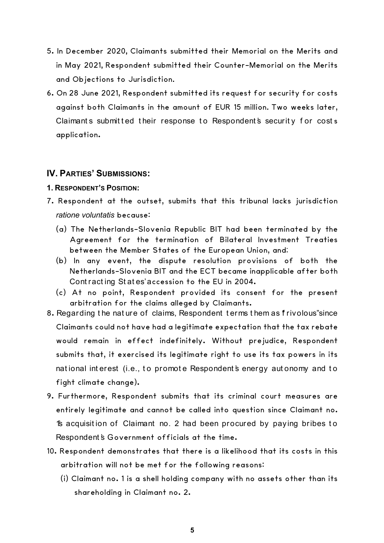- 5. In December 2020**,** Claimants submitted their Memorial on the Merits and in May 2021**,** Respondent submitted their Counter-Memorial on the Merits and Objections to Jurisdiction**.**
- 6. On 28 June 2021, Respondent submitted its request for security for costs against both Claimants in the amount of EUR 15 million**.** Two weeks later, Claimants submitted their response to Respondent's security for costs application.

## **IV. PARTIES' SUBMISSIONS:**

- **1. RESPONDENT'S POSITION:**
- 7. Respondent at the outset, submits that this tribunal lacks jurisdiction *ratione voluntatis* because:
	- (a) The Netherlands-Slovenia Republic BIT had been terminated by the Agreement for the termination of Bilateral Investment Treaties between the Member States of the European Union, and;
	- (b) In any event, the dispute resolution provisions of both the Netherlands-Slovenia BIT and the ECT became inapplicable after both Cont ract ing St at es' accession to the EU in 2004.
	- (c) At no point, Respondent provided its consent for the present arbitration for the claims alleged by Claimants.
- 8. Regarding the nature of claims, Respondent terms them as frivolous" since Claimants could not have had a legitimate expectation that the tax rebate would remain in effect indefinitely. Without prejudice, Respondent submits that, it exercised its legitimate right to use its tax powers in its national interest (i.e., to promote Respondent's energy autonomy and to fight climate change).
- 9. Furthermore, Respondent submits that its criminal court measures are entirely legitimate and cannot be called into question since Claimant no. 1's acquisit ion of Claimant no. 2 had been procured by paying bribes t o Respondent's Government officials at the time.
- 10. Respondent demonstrates that there is a likelihood that its costs in this arbitration will not be met for the following reasons:
	- (i) Claimant no. 1 is a shell holding company with no assets other than its shareholding in Claimant no. 2.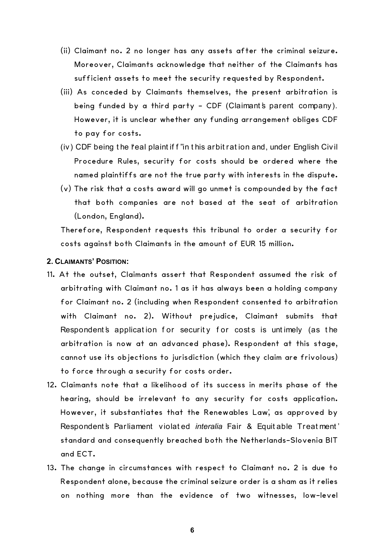- (ii) Claimant no. 2 no longer has any assets after the criminal seizure. Moreover, Claimants acknowledge that neither of the Claimants has sufficient assets to meet the security requested by Respondent.
- (iii) As conceded by Claimants themselves, the present arbitration is being funded by a third party - CDF (Claimant's parent company). However, it is unclear whether any funding arrangement obliges CDF to pay for costs.
- (iv) CDF being the feal plaint if f "in this arbit ration and, under English Civil Procedure Rules, security for costs should be ordered where the named plaintiffs are not the true party with interests in the dispute.
- (v) The risk that a costs award will go unmet is compounded by the fact that both companies are not based at the seat of arbitration (London, England).

Therefore, Respondent requests this tribunal to order a security for costs against both Claimants in the amount of EUR 15 million.

## **2. CLAIMANTS' POSITION:**

- 11. At the outset, Claimants assert that Respondent assumed the risk of arbitrating with Claimant no. 1 as it has always been a holding company for Claimant no. 2 (including when Respondent consented to arbitration with Claimant no. 2). Without prejudice, Claimant submits that Respondent's application for security for costs is untimely (as the arbitration is now at an advanced phase). Respondent at this stage, cannot use its objections to jurisdiction (which they claim are frivolous) to force through a security for costs order.
- 12. Claimants note that a likelihood of its success in merits phase of the hearing, should be irrelevant to any security for costs application. However, it substantiates that the Renewables Law', as approved by Respondent's Parliament violated *interalia* Fair & Equit able Treat ment' standard and consequently breached both the Netherlands-Slovenia BIT and ECT.
- 13. The change in circumstances with respect to Claimant no. 2 is due to Respondent alone, because the criminal seizure order is a sham as it relies on nothing more than the evidence of two witnesses, low-level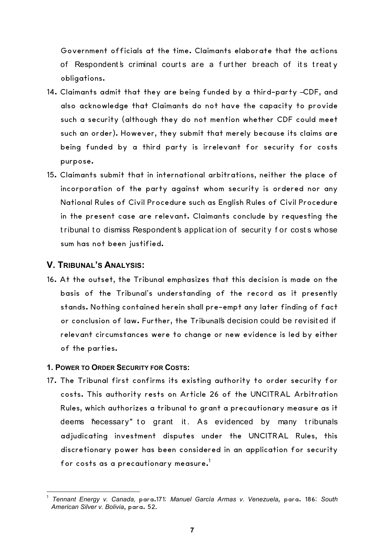Government officials at the time. Claimants elaborate that the actions of Respondent's criminal courts are a further breach of its treaty obligations.

- 14. Claimants admit that they are being funded by a third-party –CDF, and also acknowledge that Claimants do not have the capacity to provide such a security (although they do not mention whether CDF could meet such an order). However, they submit that merely because its claims are being funded by a third party is irrelevant for security for costs purpose.
- 15. Claimants submit that in international arbitrations, neither the place of incorporation of the party against whom security is ordered nor any National Rules of Civil Procedure such as English Rules of Civil Procedure in the present case are relevant. Claimants conclude by requesting the tribunal to dismiss Respondent's application of security for costs whose sum has not been justified.

## **V. TRIBUNAL'S ANALYSIS:**

 

16. At the outset, the Tribunal emphasizes that this decision is made on the basis of the Tribunal's understanding of the record as it presently stands. Nothing contained herein shall pre-empt any later finding of fact or conclusion of law. Further, the Tribunal's decision could be revisited if relevant circumstances were to change or new evidence is led by either of the parties.

#### **1. POWER TO ORDER SECURITY FOR COSTS:**

17. The Tribunal first confirms its existing authority to order security for costs. This authority rests on Article 26 of the UNCITRAL Arbitration Rules, which authorizes a tribunal to grant a precautionary measure as it deems hecessary" to grant it. As evidenced by many tribunals adjudicating investment disputes under the UNCITRAL Rules, this discretionary power has been considered in an application for security for costs as a precautionary measure.<sup>1</sup>

<sup>1</sup> *Tennant Energy v. Canada,* para.171; *Manuel García Armas v. Venezuela*, para. 186; *South American Silver v. Bolivia*, para. 52**.**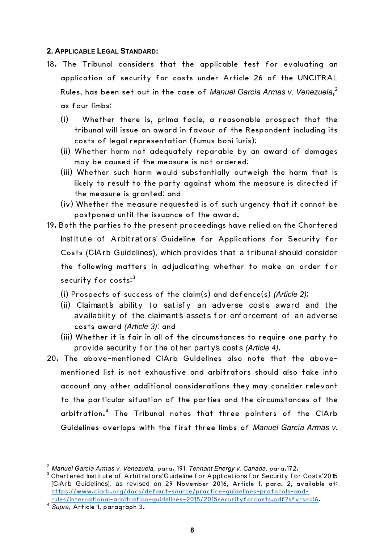#### **2. APPLICABLE LEGAL STANDARD:**

- 18. The Tribunal considers that the applicable test for evaluating an application of security for costs under Article 26 of the UNCITRAL Rules, has been set out in the case of *Manuel García Armas v. Venezuela*, 2 as four limbs:
	- (i) Whether there is, prima facie, a reasonable prospect that the tribunal will issue an award in favour of the Respondent including its costs of legal representation (fumus boni iuris);
	- (ii) Whether harm not adequately reparable by an award of damages may be caused if the measure is not ordered;
	- (iii) Whether such harm would substantially outweigh the harm that is likely to result to the party against whom the measure is directed if the measure is granted; and
	- (iv) Whether the measure requested is of such urgency that it cannot be postponed until the issuance of the award.
- 19. Both the parties to the present proceedings have relied on the Chartered Institute of Arbitrators' Guideline for Applications for Security for Costs (CIA rb Guidelines), which provides that a tribunal should consider the following matters in adjudicating whether to make an order for security for costs: $^3$ 
	- (i) Prospects of success of the claim(s) and defence(s) *(Article 2)*;
	- (ii) Claimant's ability to satisfy an adverse costs award and the availability of the claimant's assets for enforcement of an adverse costs award *(Article 3)*; and
	- (iii) Whether it is fair in all of the circumstances to require one party to provide securit y f or t he ot her part y's cost s *(Article 4)*.
- 20. The above-mentioned CIArb Guidelines also note that the abovementioned list is not exhaustive and arbitrators should also take into account any other additional considerations they may consider relevant to the particular situation of the parties and the circumstances of the arbitration. <sup>4</sup> The Tribunal notes that three pointers of the CIArb Guidelines overlaps with the first three limbs of *Manuel García Armas v.*

<u> 1989 - Johann Barn, mars ann an t-Amhain an t-Amhain an t-Amhain an t-Amhain an t-Amhain an t-Amhain an t-Amh</u>

<sup>&</sup>lt;sup>2</sup> Manuel García Armas v. Venezuela, para**.** 191; *Tennant Energy v. Canada,* para**.**172.<br><sup>3</sup> Chart ered Inst it ut e of Arbit rat ors'Guideline f or Applicat ions f or Securit y f or Cost s'2015 [CIArb Guidelines], as revised on 29 November 2016, Article 1, para. 2, available at: https://www.ciarb.org/docs/default-source/practice-guidelines-protocols-andrules/international-arbitration-guidelines-2015/2015securityforcosts.pdf?sfvrsn=16. 4 *Supra,* Article 1, paragraph 3.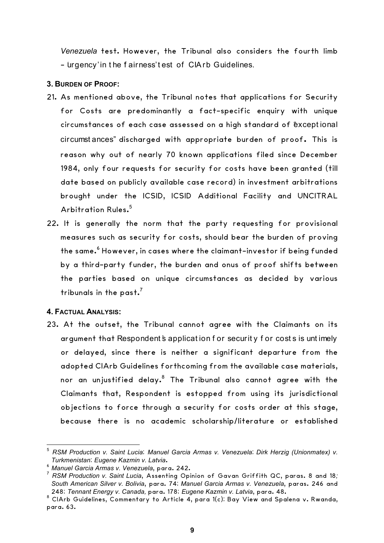*Venezuela* test. However, the Tribunal also considers the fourth limb - Urgency' in the fairness' test of CIArb Guidelines.

#### **3. BURDEN OF PROOF:**

- 21. As mentioned above, the Tribunal notes that applications for Security for Costs are predominantly a fact-specific enquiry with unique circumstances of each case assessed on a high standard of "except ional circumst ances" discharged with appropriate burden of proof. This is reason why out of nearly 70 known applications filed since December 1984, only four requests for security for costs have been granted (till date based on publicly available case record) in investment arbitrations brought under the ICSID, ICSID Additional Facility and UNCITRAL Arbitration Rules. 5
- 22. It is generally the norm that the party requesting for provisional measures such as security for costs, should bear the burden of proving the same.<sup>6</sup> However, in cases where the claimant-investor if being funded by a third-party funder, the burden and onus of proof shifts between the parties based on unique circumstances as decided by various tribunals in the past. $^7$

## **4. FACTUAL ANALYSIS:**

23. At the outset, the Tribunal cannot agree with the Claimants on its argument that Respondent's application for security for costs is untimely or delayed, since there is neither a significant departure from the adopted CIArb Guidelines forthcoming from the available case materials, nor an unjustified delay.8 The Tribunal also cannot agree with the Claimants that, Respondent is estopped from using its jurisdictional objections to force through a security for costs order at this stage, because there is no academic scholarship/literature or established

 

<sup>5</sup> *RSM Production v. Saint Lucia*; *Manuel Garcia Armas v. Venezuela*; *Dirk Herzig (Unionmatex) v.* 

*Turkmenistan*; *Eugene Kazmin v. Latvia*. <sup>6</sup> *Manuel Garcia Armas v. Venezuela*, para. 242.

<sup>7</sup> *RSM Production v. Saint Lucia*, Assenting Opinion of Gavan Griffith QC, paras. 8 and 18*; South American Silver v. Bolivia*, para. 74; *Manuel Garcia Armas v. Venezuela*, paras. 246 and

<sup>&</sup>lt;sup>8</sup> CIArb Guidelines, Commentary to Article 4, para 1(c); Bay View and Spalena v. Rwanda, para. 63.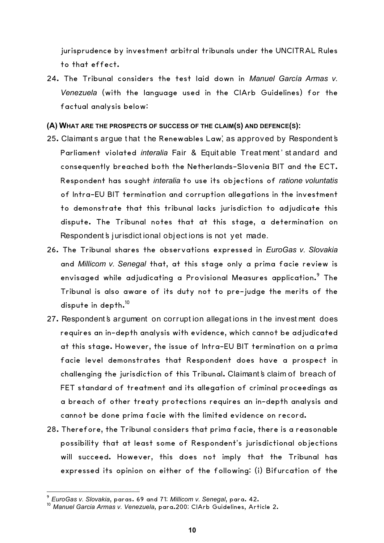jurisprudence by investment arbitral tribunals under the UNCITRAL Rules to that effect.

- 24. The Tribunal considers the test laid down in *Manuel García Armas v. Venezuela* (with the language used in the CIArb Guidelines) for the factual analysis below:
- **(A) WHAT ARE THE PROSPECTS OF SUCCESS OF THE CLAIM(S) AND DEFENCE(S):**
- 25. Claimants argue that the Renewables Law', as approved by Respondent's Parliament violated *interalia* Fair & Equit able Treat ment' st and ard and consequently breached both the Netherlands-Slovenia BIT and the ECT. Respondent has sought *interalia* to use its objections of *ratione voluntatis* of Intra-EU BIT termination and corruption allegations in the investment to demonstrate that this tribunal lacks jurisdiction to adjudicate this dispute. The Tribunal notes that at this stage, a determination on Respondent's jurisdictional objections is not yet made.
- 26. The Tribunal shares the observations expressed in *EuroGas v. Slovakia* and *Millicom v. Senegal* that, at this stage only a prima facie review is envisaged while adjudicating a Provisional Measures application.<sup>9</sup> The Tribunal is also aware of its duty not to pre-judge the merits of the dispute in depth.<sup>10</sup>
- 27. Respondent's argument on corruption allegations in the investment does requires an in-depth analysis with evidence, which cannot be adjudicated at this stage. However, the issue of Intra-EU BIT termination on a prima facie level demonstrates that Respondent does have a prospect in challenging the jurisdiction of this Tribunal. Claimant's claim of breach of FET standard of treatment and its allegation of criminal proceedings as a breach of other treaty protections requires an in-depth analysis and cannot be done prima facie with the limited evidence on record.
- 28. Therefore, the Tribunal considers that prima facie, there is a reasonable possibility that at least some of Respondent's jurisdictional objections will succeed. However, this does not imply that the Tribunal has expressed its opinion on either of the following: (i) Bifurcation of the

 

<sup>9</sup> *EuroGas v. Slovakia*, paras. 69 and 71; *Millicom v. Senegal*, para. 42.

<sup>10</sup> *Manuel Garcia Armas v. Venezuela*, para.200; CIArb Guidelines, Article 2.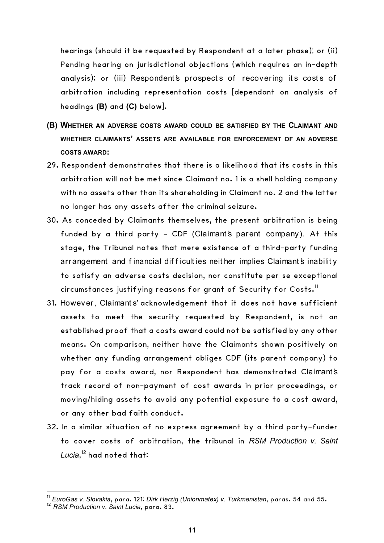hearings (should it be requested by Respondent at a later phase); or (ii) Pending hearing on jurisdictional objections (which requires an in-depth analysis); or (iii) Respondent's prospects of recovering its costs of arbitration including representation costs [dependant on analysis of headings **(B)** and **(C)** below].

- **(B) WHETHER AN ADVERSE COSTS AWARD COULD BE SATISFIED BY THE CLAIMANT AND WHETHER CLAIMANTS' ASSETS ARE AVAILABLE FOR ENFORCEMENT OF AN ADVERSE COSTS AWARD:**
- 29. Respondent demonstrates that there is a likelihood that its costs in this arbitration will not be met since Claimant no. 1 is a shell holding company with no assets other than its shareholding in Claimant no. 2 and the latter no longer has any assets after the criminal seizure.
- 30. As conceded by Claimants themselves, the present arbitration is being funded by a third party - CDF (Claimant's parent company). At this stage, the Tribunal notes that mere existence of a third-party funding arrangement and financial difficulties neither implies Claimant's inability to satisfy an adverse costs decision, nor constitute per se exceptional circumstances justifying reasons for grant of Security for Costs.<sup>11</sup>
- 31. However, Claimant s' acknowledgement that it does not have sufficient assets to meet the security requested by Respondent, is not an established proof that a costs award could not be satisfied by any other means. On comparison, neither have the Claimants shown positively on whether any funding arrangement obliges CDF (its parent company) to pay for a costs award, nor Respondent has demonstrated Claimant's track record of non-payment of cost awards in prior proceedings, or moving/hiding assets to avoid any potential exposure to a cost award, or any other bad faith conduct.
- 32. In a similar situation of no express agreement by a third party-funder to cover costs of arbitration, the tribunal in *RSM Production v. Saint Lucia*, <sup>12</sup> had noted that:

 

<sup>11</sup> *EuroGas v. Slovakia*, para. 121; *Dirk Herzig (Unionmatex) v. Turkmenistan*, paras. 54 and 55.

<sup>12</sup> *RSM Production v. Saint Lucia*, para. 83.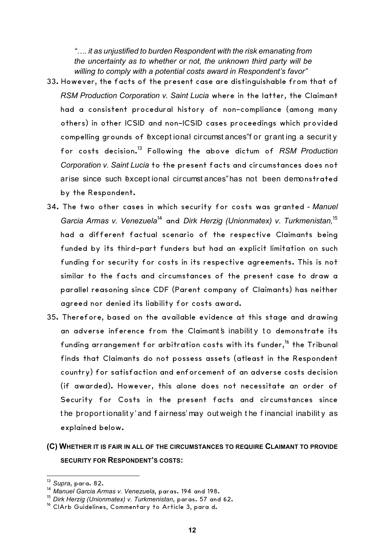*"…. it as unjustified to burden Respondent with the risk emanating from the uncertainty as to whether or not, the unknown third party will be willing to comply with a potential costs award in Respondent's favor"*

- 33. However, the facts of the present case are distinguishable from that of *RSM Production Corporation v. Saint Lucia* where in the latter, the Claimant had a consistent procedural history of non-compliance (among many others) in other ICSID and non-ICSID cases proceedings which provided compelling grounds of "except ional circumst ances" for granting a security for costs decision.13 Following the above dictum of *RSM Production Corporation v. Saint Lucia* to the present facts and circumstances does not arise since such "exceptional circumst ances" has not been demonstrated by the Respondent.
- 34. The two other cases in which security for costs was granted *- Manuel Garcia Armas v. Venezuela*<sup>14</sup> and *Dirk Herzig (Unionmatex) v. Turkmenistan,* 15 had a different factual scenario of the respective Claimants being funded by its third-part funders but had an explicit limitation on such funding for security for costs in its respective agreements. This is not similar to the facts and circumstances of the present case to draw a parallel reasoning since CDF (Parent company of Claimants) has neither agreed nor denied its liability for costs award.
- 35. Therefore, based on the available evidence at this stage and drawing an adverse inference from the Claimant's inability to demonstrate its funding arrangement for arbitration costs with its funder,<sup>16</sup> the Tribunal finds that Claimants do not possess assets (atleast in the Respondent country) for satisfaction and enforcement of an adverse costs decision (if awarded). However, this alone does not necessitate an order of Security for Costs in the present facts and circumstances since the proportionality' and fairness' may out weigh the financial inability as explained below.

## **(C) WHETHER IT IS FAIR IN ALL OF THE CIRCUMSTANCES TO REQUIRE CLAIMANT TO PROVIDE SECURITY FOR RESPONDENT'S COSTS:**

<u> 1989 - Johann Barn, mars ann an t-Amhain Aonaich ann an t-Aonaich ann an t-Aonaich ann an t-Aonaich ann an t-</u>

<sup>13</sup> *Supra*, para. 82.

<sup>14</sup> *Manuel Garcia Armas v. Venezuela*, paras. 194 and 198.

<sup>&</sup>lt;sup>15</sup> Dirk Herzig (Unionmatex) v. Turkmenistan, paras. 57 and 62.<br><sup>16</sup> ClArb Guidelines, Commentary to Article 3, para d.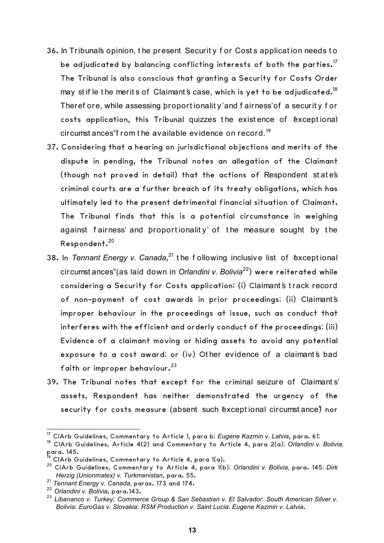- 36. In Tribunal's opinion, t he present Securit y f or Cost s applicat ion needs t o be adjudicated by balancing conflicting interests of both the parties.<sup>17</sup> The Tribunal is also conscious that granting a Security for Costs Order may st if le the merits of Claimant's case, which is yet to be adjudicated.<sup>18</sup> Theref ore, while assessing proport ionality' and f airness' of a security for costs application, this Tribunal quizzes the existence of "exceptional" circumst ances" from the available evidence on record.<sup>19</sup>
- 37. Considering that a hearing on jurisdictional objections and merits of the dispute in pending, the Tribunal notes an allegation of the Claimant (though not proved in detail) that the actions of Respondent st at e's criminal courts are a further breach of its treaty obligations, which has ultimately led to the present detrimental financial situation of Claimant. The Tribunal finds that this is a potential circumstance in weighing against fairness' and proportionality' of the measure sought by the Respondent.<sup>20</sup>
- 38. In *Tennant Energy v. Canada*,<sup>21</sup> the following inclusive list of Exceptional circumst ances" (as laid down in *Orlandini v. Bolivia*22) were reiterated while considering a Security for Costs application: (i) Claimant's track record of non-payment of cost awards in prior proceedings; (ii) Claimant's improper behaviour in the proceedings at issue, such as conduct that interferes with the efficient and orderly conduct of the proceedings; (iii) Evidence of a claimant moving or hiding assets to avoid any potential exposure to a cost award; or (iv) Other evidence of a claimant's bad faith or improper behaviour. $^{23}$
- 39. The Tribunal notes that except for the criminal seizure of Claimant s' assets, Respondent has neither demonstrated the urgency of the security for costs measure (absent such "exceptional circumstance") nor

 <sup>17</sup> CIArb Guidelines, Commentary to Article 1, para b; *Eugene Kazmin v. Latvia*, para. 61;

<sup>&</sup>lt;sup>18</sup> ClArb Guidelines, Article 4(2) and Commentary to Article 4, para 2(a); *Orlandini v. Bolivia,* para. 145.

CIArb Guidelines, Commentary to Article 4, para 1(a).

<sup>20</sup> CIArb Guidelines, Commentary to Article 4, para 1(b); *Orlandini v. Bolivia,* para. 145; *Dirk Herzig (Unionmatex) v. Turkmenistan*, para. 55.

<sup>21</sup> *Tennant Energy v. Canada,* paras. 173 and 174.

<sup>22</sup> *Orlandini v. Bolivia*, para.143.

<sup>23</sup> *Libananco v. Turkey*; *Commerce Group & San Sebastian v. El Salvador*; *South American Silver v. Bolivia*; *EuroGas v. Slovakia*; *RSM Production v. Saint Lucia*; *Eugene Kazmin v. Latvia*.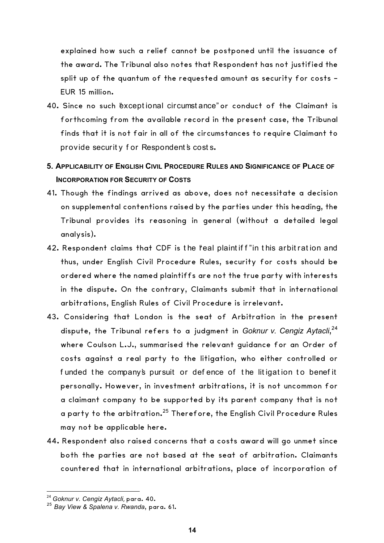explained how such a relief cannot be postponed until the issuance of the award. The Tribunal also notes that Respondent has not justified the split up of the quantum of the requested amount as security for costs -EUR 15 million.

- 40. Since no such "exceptional circumstance" or conduct of the Claimant is forthcoming from the available record in the present case, the Tribunal finds that it is not fair in all of the circumstances to require Claimant to provide security for Respondent's costs.
- **5. APPLICABILITY OF ENGLISH CIVIL PROCEDURE RULES AND SIGNIFICANCE OF PLACE OF INCORPORATION FOR SECURITY OF COSTS**
- 41. Though the findings arrived as above, does not necessitate a decision on supplemental contentions raised by the parties under this heading, the Tribunal provides its reasoning in general (without a detailed legal analysis).
- 42. Respondent claims that CDF is the "real plaint if f" in this arbit ration and thus, under English Civil Procedure Rules, security for costs should be ordered where the named plaintiffs are not the true party with interests in the dispute. On the contrary, Claimants submit that in international arbitrations, English Rules of Civil Procedure is irrelevant.
- 43. Considering that London is the seat of Arbitration in the present dispute, the Tribunal refers to a judgment in *Goknur v. Cengiz Aytacli*, 24 where Coulson L.J., summarised the relevant guidance for an Order of costs against a real party to the litigation, who either controlled or funded the company's pursuit or defence of the litigation to benefit personally. However, in investment arbitrations, it is not uncommon for a claimant company to be supported by its parent company that is not a party to the arbitration.<sup>25</sup> Therefore, the English Civil Procedure Rules may not be applicable here.
- 44. Respondent also raised concerns that a costs award will go unmet since both the parties are not based at the seat of arbitration. Claimants countered that in international arbitrations, place of incorporation of

<u> 1989 - Johann Barn, mars ann an t-Amhain Aonaich ann an t-Aonaich ann an t-Aonaich ann an t-Aonaich ann an t-</u>

<sup>&</sup>lt;sup>24</sup> Goknur v. Cengiz Aytacli, para. 40.

<sup>25</sup> *Bay View & Spalena v. Rwanda*, para. 61.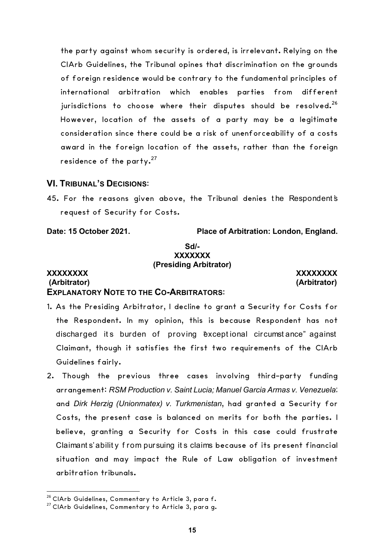the party against whom security is ordered, is irrelevant. Relying on the CIArb Guidelines, the Tribunal opines that discrimination on the grounds of foreign residence would be contrary to the fundamental principles of international arbitration which enables parties from different jurisdictions to choose where their disputes should be resolved.<sup>26</sup> However, location of the assets of a party may be a legitimate consideration since there could be a risk of unenforceability of a costs award in the foreign location of the assets, rather than the foreign residence of the party. $27$ 

#### **VI. TRIBUNAL'S DECISIONS**:

45. For the reasons given above, the Tribunal denies the Respondent's request of Security for Costs.

**Date: 15 October 2021. Place of Arbitration: London, England.**

#### **Sd/- XXXXXXX (Presiding Arbitrator)**

#### **XXXXXXXX XXXXXXXX (Arbitrator) (Arbitrator) EXPLANATORY NOTE TO THE CO-ARBITRATORS**:

1. As the Presiding Arbitrator, I decline to grant a Security for Costs for the Respondent. In my opinion, this is because Respondent has not discharged its burden of proving "exceptional circumstance" against Claimant, though it satisfies the first two requirements of the CIArb Guidelines fairly.

2. Though the previous three cases involving third-party funding arrangement: *RSM Production v. Saint Lucia; Manuel Garcia Armas v. Venezuela*; and *Dirk Herzig (Unionmatex) v. Turkmenistan*, had granted a Security for Costs, the present case is balanced on merits for both the parties. I believe, granting a Security for Costs in this case could frustrate Claimant s' abilit y f rom pursuing it s claims because of its present financial situation and may impact the Rule of Law obligation of investment arbitration tribunals.

<u> 1989 - Johann Barn, mars ann an t-Amhain Aonaich ann an t-Aonaich ann an t-Aonaich ann an t-Aonaich ann an t-</u>

<sup>&</sup>lt;sup>26</sup> CIArb Guidelines, Commentary to Article 3, para f.<br><sup>27</sup> CIArb Guidelines, Commentary to Article 3, para g.